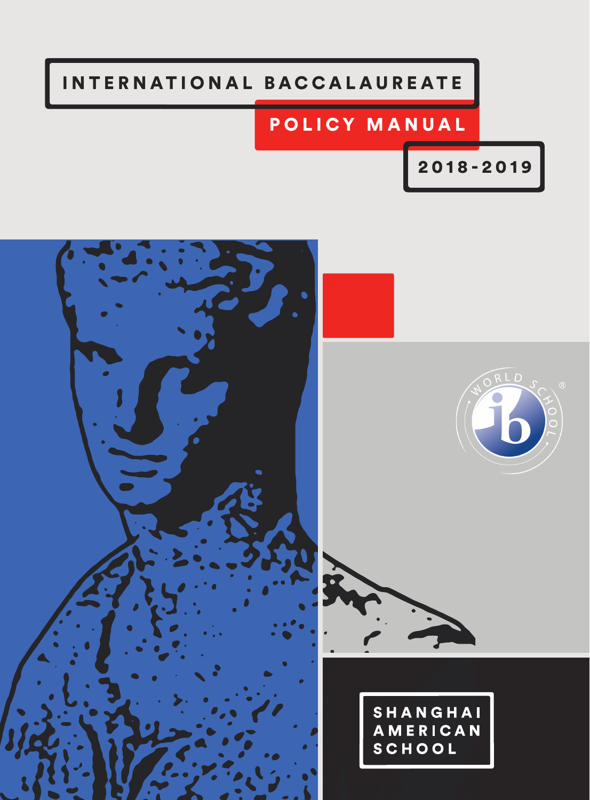# INTERNATIONAL BACCALAUREATE

# POLICY MANUAL

2018-2019

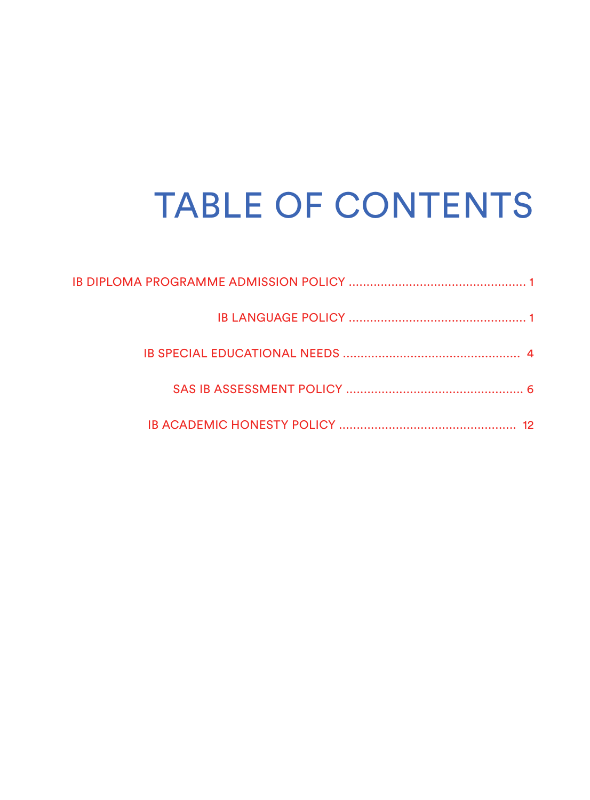# TABLE OF CONTENTS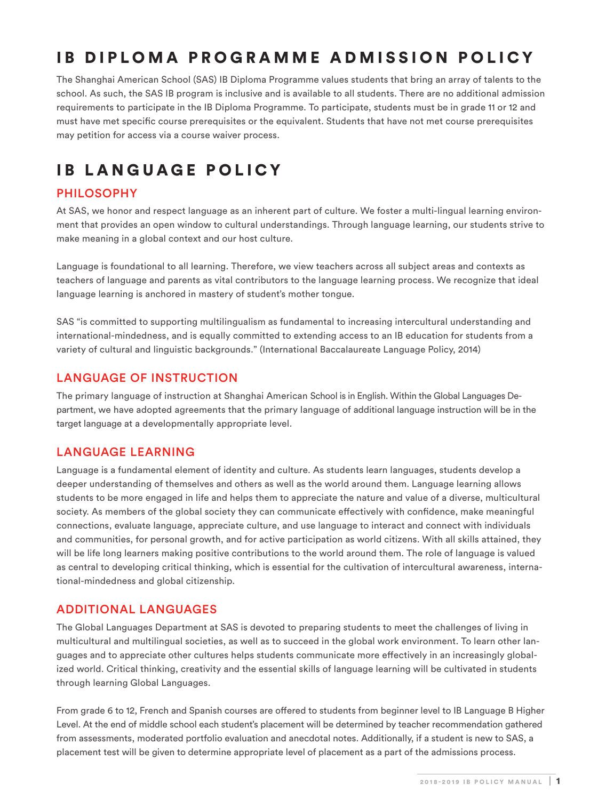# IB DIPLOMA PROGRAMME ADMISSION POLICY

The Shanghai American School (SAS) IB Diploma Programme values students that bring an array of talents to the school. As such, the SAS IB program is inclusive and is available to all students. There are no additional admission requirements to participate in the IB Diploma Programme. To participate, students must be in grade 11 or 12 and must have met specific course prerequisites or the equivalent. Students that have not met course prerequisites may petition for access via a course waiver process.

# IB LANGUAGE POLICY

# PHILOSOPHY

At SAS, we honor and respect language as an inherent part of culture. We foster a multi-lingual learning environment that provides an open window to cultural understandings. Through language learning, our students strive to make meaning in a global context and our host culture.

Language is foundational to all learning. Therefore, we view teachers across all subject areas and contexts as teachers of language and parents as vital contributors to the language learning process. We recognize that ideal language learning is anchored in mastery of student's mother tongue.

SAS "is committed to supporting multilingualism as fundamental to increasing intercultural understanding and international-mindedness, and is equally committed to extending access to an IB education for students from a variety of cultural and linguistic backgrounds." (International Baccalaureate Language Policy, 2014)

# LANGUAGE OF INSTRUCTION

The primary language of instruction at Shanghai American School is in English. Within the Global Languages Department, we have adopted agreements that the primary language of additional language instruction will be in the target language at a developmentally appropriate level.

# LANGUAGE LEARNING

Language is a fundamental element of identity and culture. As students learn languages, students develop a deeper understanding of themselves and others as well as the world around them. Language learning allows students to be more engaged in life and helps them to appreciate the nature and value of a diverse, multicultural society. As members of the global society they can communicate effectively with confidence, make meaningful connections, evaluate language, appreciate culture, and use language to interact and connect with individuals and communities, for personal growth, and for active participation as world citizens. With all skills attained, they will be life long learners making positive contributions to the world around them. The role of language is valued as central to developing critical thinking, which is essential for the cultivation of intercultural awareness, international-mindedness and global citizenship.

# ADDITIONAL LANGUAGES

The Global Languages Department at SAS is devoted to preparing students to meet the challenges of living in multicultural and multilingual societies, as well as to succeed in the global work environment. To learn other languages and to appreciate other cultures helps students communicate more effectively in an increasingly globalized world. Critical thinking, creativity and the essential skills of language learning will be cultivated in students through learning Global Languages.

From grade 6 to 12, French and Spanish courses are offered to students from beginner level to IB Language B Higher Level. At the end of middle school each student's placement will be determined by teacher recommendation gathered from assessments, moderated portfolio evaluation and anecdotal notes. Additionally, if a student is new to SAS, a placement test will be given to determine appropriate level of placement as a part of the admissions process.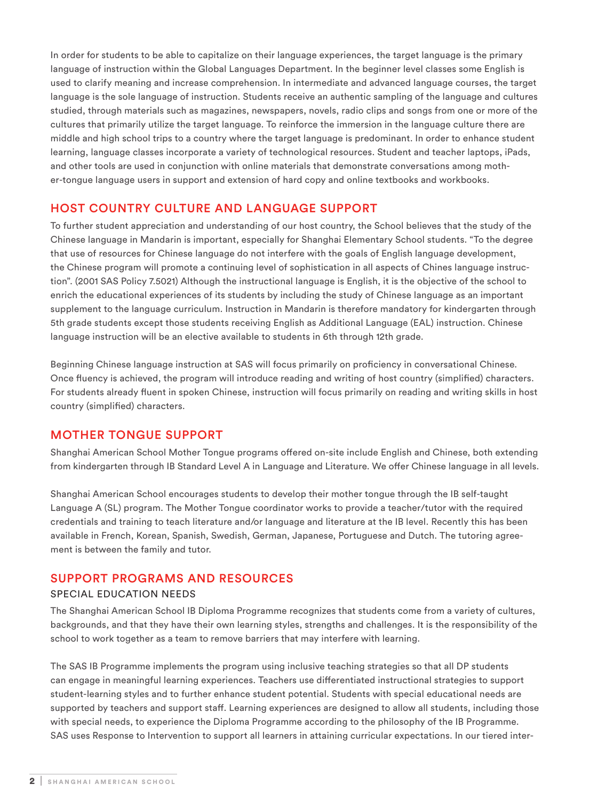In order for students to be able to capitalize on their language experiences, the target language is the primary language of instruction within the Global Languages Department. In the beginner level classes some English is used to clarify meaning and increase comprehension. In intermediate and advanced language courses, the target language is the sole language of instruction. Students receive an authentic sampling of the language and cultures studied, through materials such as magazines, newspapers, novels, radio clips and songs from one or more of the cultures that primarily utilize the target language. To reinforce the immersion in the language culture there are middle and high school trips to a country where the target language is predominant. In order to enhance student learning, language classes incorporate a variety of technological resources. Student and teacher laptops, iPads, and other tools are used in conjunction with online materials that demonstrate conversations among mother-tongue language users in support and extension of hard copy and online textbooks and workbooks.

## HOST COUNTRY CULTURE AND LANGUAGE SUPPORT

To further student appreciation and understanding of our host country, the School believes that the study of the Chinese language in Mandarin is important, especially for Shanghai Elementary School students. "To the degree that use of resources for Chinese language do not interfere with the goals of English language development, the Chinese program will promote a continuing level of sophistication in all aspects of Chines language instruction". (2001 SAS Policy 7.5021) Although the instructional language is English, it is the objective of the school to enrich the educational experiences of its students by including the study of Chinese language as an important supplement to the language curriculum. Instruction in Mandarin is therefore mandatory for kindergarten through 5th grade students except those students receiving English as Additional Language (EAL) instruction. Chinese language instruction will be an elective available to students in 6th through 12th grade.

Beginning Chinese language instruction at SAS will focus primarily on proficiency in conversational Chinese. Once fluency is achieved, the program will introduce reading and writing of host country (simplified) characters. For students already fluent in spoken Chinese, instruction will focus primarily on reading and writing skills in host country (simplified) characters.

#### MOTHER TONGUE SUPPORT

Shanghai American School Mother Tongue programs offered on-site include English and Chinese, both extending from kindergarten through IB Standard Level A in Language and Literature. We offer Chinese language in all levels.

Shanghai American School encourages students to develop their mother tongue through the IB self-taught Language A (SL) program. The Mother Tongue coordinator works to provide a teacher/tutor with the required credentials and training to teach literature and/or language and literature at the IB level. Recently this has been available in French, Korean, Spanish, Swedish, German, Japanese, Portuguese and Dutch. The tutoring agreement is between the family and tutor.

#### SUPPORT PROGRAMS AND RESOURCES

#### SPECIAL EDUCATION NEEDS

The Shanghai American School IB Diploma Programme recognizes that students come from a variety of cultures, backgrounds, and that they have their own learning styles, strengths and challenges. It is the responsibility of the school to work together as a team to remove barriers that may interfere with learning.

The SAS IB Programme implements the program using inclusive teaching strategies so that all DP students can engage in meaningful learning experiences. Teachers use differentiated instructional strategies to support student-learning styles and to further enhance student potential. Students with special educational needs are supported by teachers and support staff. Learning experiences are designed to allow all students, including those with special needs, to experience the Diploma Programme according to the philosophy of the IB Programme. SAS uses Response to Intervention to support all learners in attaining curricular expectations. In our tiered inter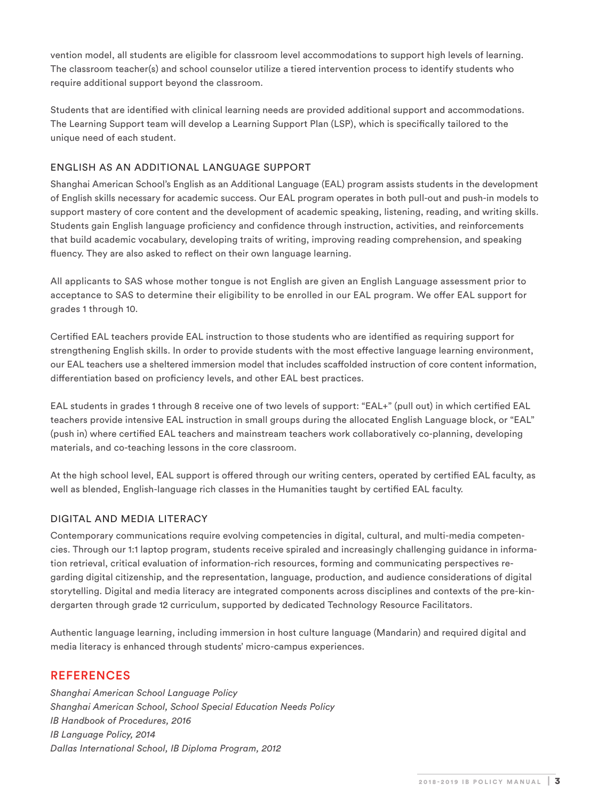vention model, all students are eligible for classroom level accommodations to support high levels of learning. The classroom teacher(s) and school counselor utilize a tiered intervention process to identify students who require additional support beyond the classroom.

Students that are identified with clinical learning needs are provided additional support and accommodations. The Learning Support team will develop a Learning Support Plan (LSP), which is specifically tailored to the unique need of each student.

#### ENGLISH AS AN ADDITIONAL LANGUAGE SUPPORT

Shanghai American School's English as an Additional Language (EAL) program assists students in the development of English skills necessary for academic success. Our EAL program operates in both pull-out and push-in models to support mastery of core content and the development of academic speaking, listening, reading, and writing skills. Students gain English language proficiency and confidence through instruction, activities, and reinforcements that build academic vocabulary, developing traits of writing, improving reading comprehension, and speaking fluency. They are also asked to reflect on their own language learning.

All applicants to SAS whose mother tongue is not English are given an English Language assessment prior to acceptance to SAS to determine their eligibility to be enrolled in our EAL program. We offer EAL support for grades 1 through 10.

Certified EAL teachers provide EAL instruction to those students who are identified as requiring support for strengthening English skills. In order to provide students with the most effective language learning environment, our EAL teachers use a sheltered immersion model that includes scaffolded instruction of core content information, differentiation based on proficiency levels, and other EAL best practices.

EAL students in grades 1 through 8 receive one of two levels of support: "EAL+" (pull out) in which certified EAL teachers provide intensive EAL instruction in small groups during the allocated English Language block, or "EAL" (push in) where certified EAL teachers and mainstream teachers work collaboratively co-planning, developing materials, and co-teaching lessons in the core classroom.

At the high school level, EAL support is offered through our writing centers, operated by certified EAL faculty, as well as blended, English-language rich classes in the Humanities taught by certified EAL faculty.

#### DIGITAL AND MEDIA LITERACY

Contemporary communications require evolving competencies in digital, cultural, and multi-media competencies. Through our 1:1 laptop program, students receive spiraled and increasingly challenging guidance in information retrieval, critical evaluation of information-rich resources, forming and communicating perspectives regarding digital citizenship, and the representation, language, production, and audience considerations of digital storytelling. Digital and media literacy are integrated components across disciplines and contexts of the pre-kindergarten through grade 12 curriculum, supported by dedicated Technology Resource Facilitators.

Authentic language learning, including immersion in host culture language (Mandarin) and required digital and media literacy is enhanced through students' micro-campus experiences.

# REFERENCES

*Shanghai American School Language Policy Shanghai American School, School Special Education Needs Policy IB Handbook of Procedures, 2016 IB Language Policy, 2014 Dallas International School, IB Diploma Program, 2012*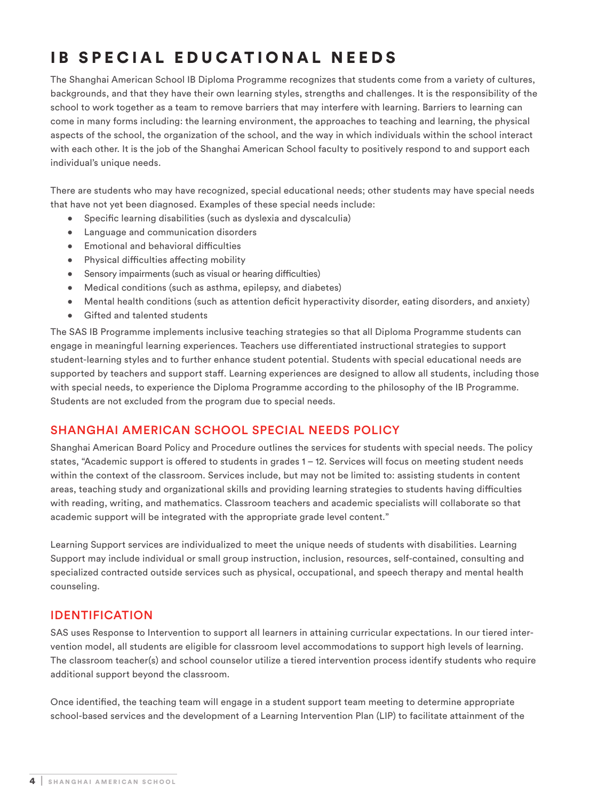# IB SPECIAL EDUCATIONAL NEEDS

The Shanghai American School IB Diploma Programme recognizes that students come from a variety of cultures, backgrounds, and that they have their own learning styles, strengths and challenges. It is the responsibility of the school to work together as a team to remove barriers that may interfere with learning. Barriers to learning can come in many forms including: the learning environment, the approaches to teaching and learning, the physical aspects of the school, the organization of the school, and the way in which individuals within the school interact with each other. It is the job of the Shanghai American School faculty to positively respond to and support each individual's unique needs.

There are students who may have recognized, special educational needs; other students may have special needs that have not yet been diagnosed. Examples of these special needs include:

- Specific learning disabilities (such as dyslexia and dyscalculia)
- Language and communication disorders
- Emotional and behavioral difficulties
- Physical difficulties affecting mobility
- Sensory impairments (such as visual or hearing difficulties)
- Medical conditions (such as asthma, epilepsy, and diabetes)
- Mental health conditions (such as attention deficit hyperactivity disorder, eating disorders, and anxiety)
- Gifted and talented students

The SAS IB Programme implements inclusive teaching strategies so that all Diploma Programme students can engage in meaningful learning experiences. Teachers use differentiated instructional strategies to support student-learning styles and to further enhance student potential. Students with special educational needs are supported by teachers and support staff. Learning experiences are designed to allow all students, including those with special needs, to experience the Diploma Programme according to the philosophy of the IB Programme. Students are not excluded from the program due to special needs.

# SHANGHAI AMERICAN SCHOOL SPECIAL NEEDS POLICY

Shanghai American Board Policy and Procedure outlines the services for students with special needs. The policy states, "Academic support is offered to students in grades 1 – 12. Services will focus on meeting student needs within the context of the classroom. Services include, but may not be limited to: assisting students in content areas, teaching study and organizational skills and providing learning strategies to students having difficulties with reading, writing, and mathematics. Classroom teachers and academic specialists will collaborate so that academic support will be integrated with the appropriate grade level content."

Learning Support services are individualized to meet the unique needs of students with disabilities. Learning Support may include individual or small group instruction, inclusion, resources, self-contained, consulting and specialized contracted outside services such as physical, occupational, and speech therapy and mental health counseling.

# IDENTIFICATION

SAS uses Response to Intervention to support all learners in attaining curricular expectations. In our tiered intervention model, all students are eligible for classroom level accommodations to support high levels of learning. The classroom teacher(s) and school counselor utilize a tiered intervention process identify students who require additional support beyond the classroom.

Once identified, the teaching team will engage in a student support team meeting to determine appropriate school-based services and the development of a Learning Intervention Plan (LIP) to facilitate attainment of the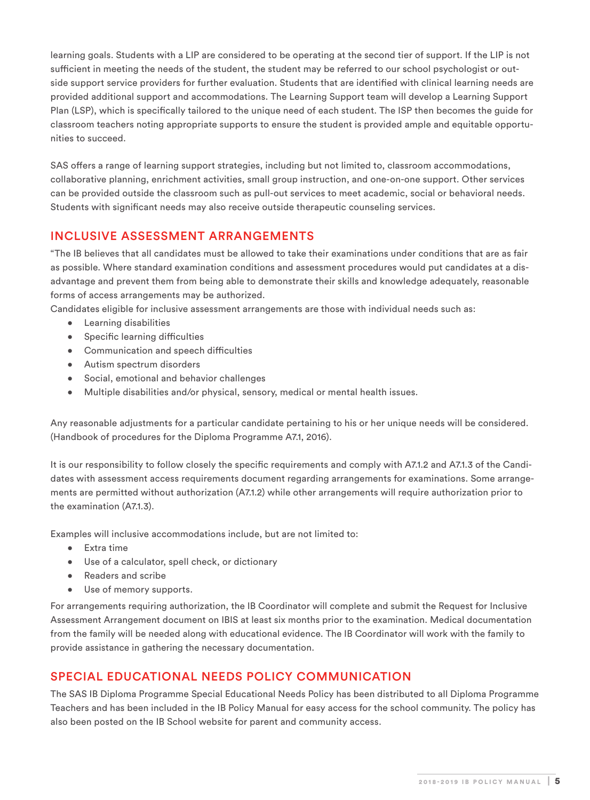learning goals. Students with a LIP are considered to be operating at the second tier of support. If the LIP is not sufficient in meeting the needs of the student, the student may be referred to our school psychologist or outside support service providers for further evaluation. Students that are identified with clinical learning needs are provided additional support and accommodations. The Learning Support team will develop a Learning Support Plan (LSP), which is specifically tailored to the unique need of each student. The ISP then becomes the guide for classroom teachers noting appropriate supports to ensure the student is provided ample and equitable opportunities to succeed.

SAS offers a range of learning support strategies, including but not limited to, classroom accommodations, collaborative planning, enrichment activities, small group instruction, and one-on-one support. Other services can be provided outside the classroom such as pull-out services to meet academic, social or behavioral needs. Students with significant needs may also receive outside therapeutic counseling services.

# INCLUSIVE ASSESSMENT ARRANGEMENTS

"The IB believes that all candidates must be allowed to take their examinations under conditions that are as fair as possible. Where standard examination conditions and assessment procedures would put candidates at a disadvantage and prevent them from being able to demonstrate their skills and knowledge adequately, reasonable forms of access arrangements may be authorized.

Candidates eligible for inclusive assessment arrangements are those with individual needs such as:

- Learning disabilities
- Specific learning difficulties
- Communication and speech difficulties
- Autism spectrum disorders
- Social, emotional and behavior challenges
- Multiple disabilities and/or physical, sensory, medical or mental health issues.

Any reasonable adjustments for a particular candidate pertaining to his or her unique needs will be considered. (Handbook of procedures for the Diploma Programme A7.1, 2016).

It is our responsibility to follow closely the specific requirements and comply with A7.1.2 and A7.1.3 of the Candidates with assessment access requirements document regarding arrangements for examinations. Some arrangements are permitted without authorization (A7.1.2) while other arrangements will require authorization prior to the examination (A7.1.3).

Examples will inclusive accommodations include, but are not limited to:

- Extra time
- Use of a calculator, spell check, or dictionary
- Readers and scribe
- Use of memory supports.

For arrangements requiring authorization, the IB Coordinator will complete and submit the Request for Inclusive Assessment Arrangement document on IBIS at least six months prior to the examination. Medical documentation from the family will be needed along with educational evidence. The IB Coordinator will work with the family to provide assistance in gathering the necessary documentation.

# SPECIAL EDUCATIONAL NEEDS POLICY COMMUNICATION

The SAS IB Diploma Programme Special Educational Needs Policy has been distributed to all Diploma Programme Teachers and has been included in the IB Policy Manual for easy access for the school community. The policy has also been posted on the IB School website for parent and community access.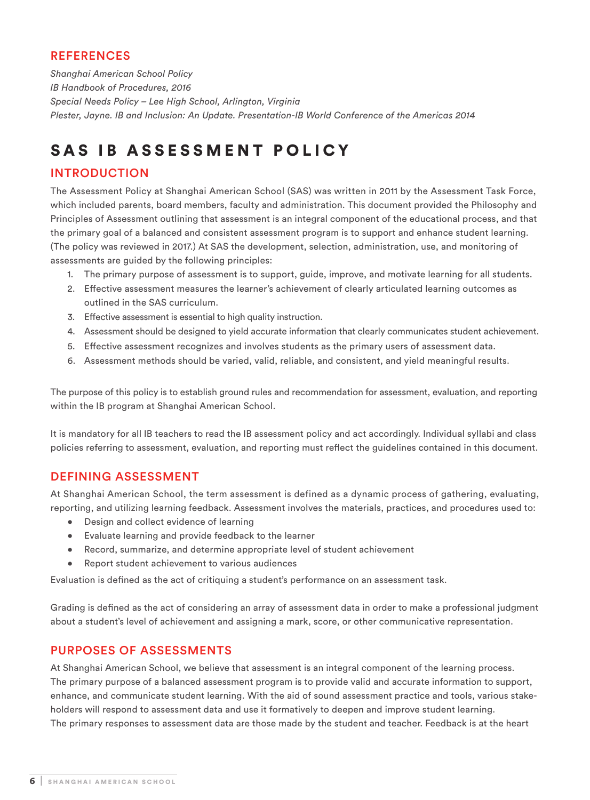# **REFERENCES**

*Shanghai American School Policy IB Handbook of Procedures, 2016 Special Needs Policy – Lee High School, Arlington, Virginia Plester, Jayne. IB and Inclusion: An Update. Presentation-IB World Conference of the Americas 2014*

# SAS IB ASSESSMENT POLICY

# INTRODUCTION

The Assessment Policy at Shanghai American School (SAS) was written in 2011 by the Assessment Task Force, which included parents, board members, faculty and administration. This document provided the Philosophy and Principles of Assessment outlining that assessment is an integral component of the educational process, and that the primary goal of a balanced and consistent assessment program is to support and enhance student learning. (The policy was reviewed in 2017.) At SAS the development, selection, administration, use, and monitoring of assessments are guided by the following principles:

- 1. The primary purpose of assessment is to support, guide, improve, and motivate learning for all students.
- 2. Effective assessment measures the learner's achievement of clearly articulated learning outcomes as outlined in the SAS curriculum.
- 3. Effective assessment is essential to high quality instruction.
- 4. Assessment should be designed to yield accurate information that clearly communicates student achievement.
- 5. Effective assessment recognizes and involves students as the primary users of assessment data.
- 6. Assessment methods should be varied, valid, reliable, and consistent, and yield meaningful results.

The purpose of this policy is to establish ground rules and recommendation for assessment, evaluation, and reporting within the IB program at Shanghai American School.

It is mandatory for all IB teachers to read the IB assessment policy and act accordingly. Individual syllabi and class policies referring to assessment, evaluation, and reporting must reflect the guidelines contained in this document.

# DEFINING ASSESSMENT

At Shanghai American School, the term assessment is defined as a dynamic process of gathering, evaluating, reporting, and utilizing learning feedback. Assessment involves the materials, practices, and procedures used to:

- Design and collect evidence of learning
- Evaluate learning and provide feedback to the learner
- Record, summarize, and determine appropriate level of student achievement
- Report student achievement to various audiences

Evaluation is defined as the act of critiquing a student's performance on an assessment task.

Grading is defined as the act of considering an array of assessment data in order to make a professional judgment about a student's level of achievement and assigning a mark, score, or other communicative representation.

# PURPOSES OF ASSESSMENTS

At Shanghai American School, we believe that assessment is an integral component of the learning process. The primary purpose of a balanced assessment program is to provide valid and accurate information to support, enhance, and communicate student learning. With the aid of sound assessment practice and tools, various stakeholders will respond to assessment data and use it formatively to deepen and improve student learning. The primary responses to assessment data are those made by the student and teacher. Feedback is at the heart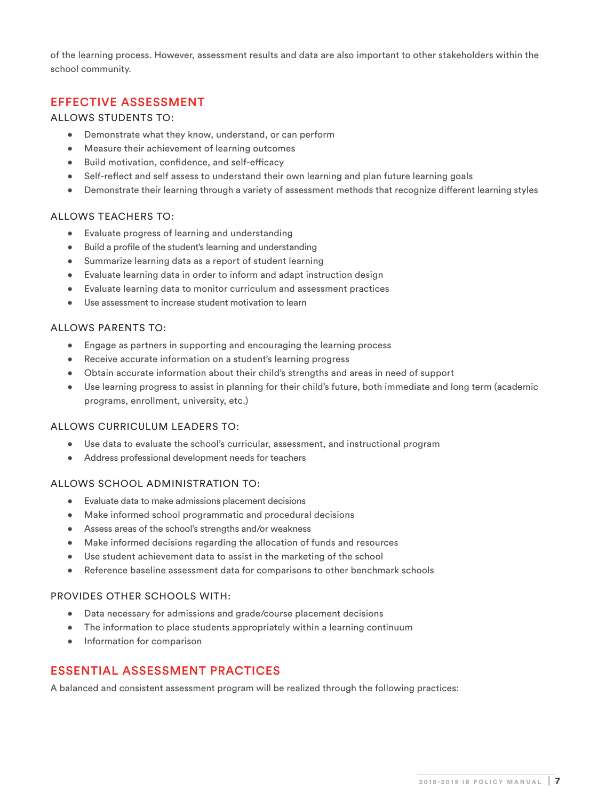of the learning process. However, assessment results and data are also important to other stakeholders within the school community.

#### EFFECTIVE ASSESSMENT

#### ALLOWS STUDENTS TO:

- Demonstrate what they know, understand, or can perform
- Measure their achievement of learning outcomes
- Build motivation, confidence, and self-efficacy
- Self-reflect and self assess to understand their own learning and plan future learning goals
- Demonstrate their learning through a variety of assessment methods that recognize different learning styles

#### ALLOWS TEACHERS TO:

- Evaluate progress of learning and understanding
- Build a profile of the student's learning and understanding
- Summarize learning data as a report of student learning
- Evaluate learning data in order to inform and adapt instruction design
- Evaluate learning data to monitor curriculum and assessment practices
- Use assessment to increase student motivation to learn

#### ALLOWS PARENTS TO:

- Engage as partners in supporting and encouraging the learning process
- Receive accurate information on a student's learning progress
- Obtain accurate information about their child's strengths and areas in need of support
- Use learning progress to assist in planning for their child's future, both immediate and long term (academic programs, enrollment, university, etc.)

#### ALLOWS CURRICULUM LEADERS TO:

- Use data to evaluate the school's curricular, assessment, and instructional program
- Address professional development needs for teachers

#### ALLOWS SCHOOL ADMINISTRATION TO:

- Evaluate data to make admissions placement decisions
- Make informed school programmatic and procedural decisions
- Assess areas of the school's strengths and/or weakness
- Make informed decisions regarding the allocation of funds and resources
- Use student achievement data to assist in the marketing of the school
- Reference baseline assessment data for comparisons to other benchmark schools

#### PROVIDES OTHER SCHOOLS WITH:

- Data necessary for admissions and grade/course placement decisions
- The information to place students appropriately within a learning continuum
- Information for comparison

# ESSENTIAL ASSESSMENT PRACTICES

A balanced and consistent assessment program will be realized through the following practices: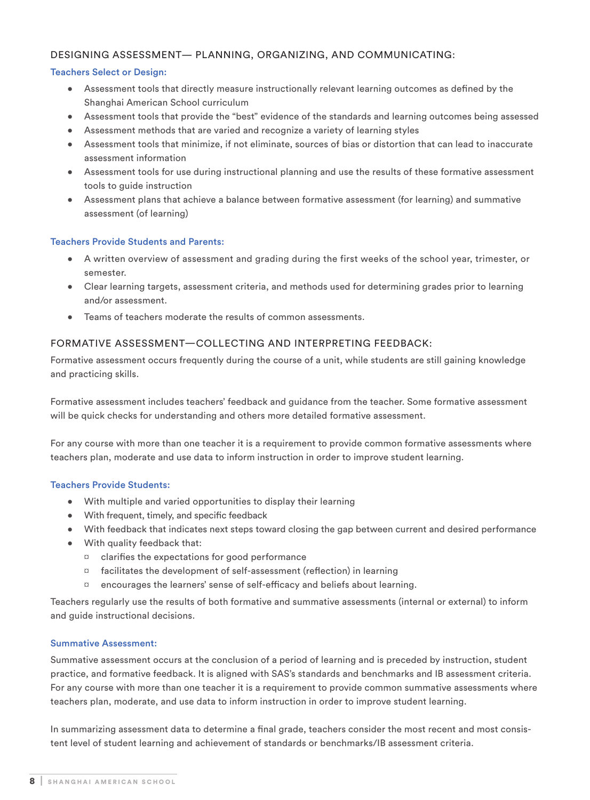#### DESIGNING ASSESSMENT— PLANNING, ORGANIZING, AND COMMUNICATING:

#### Teachers Select or Design:

- Assessment tools that directly measure instructionally relevant learning outcomes as defined by the Shanghai American School curriculum
- Assessment tools that provide the "best" evidence of the standards and learning outcomes being assessed
- Assessment methods that are varied and recognize a variety of learning styles
- Assessment tools that minimize, if not eliminate, sources of bias or distortion that can lead to inaccurate assessment information
- Assessment tools for use during instructional planning and use the results of these formative assessment tools to guide instruction
- Assessment plans that achieve a balance between formative assessment (for learning) and summative assessment (of learning)

#### Teachers Provide Students and Parents:

- A written overview of assessment and grading during the first weeks of the school year, trimester, or semester.
- Clear learning targets, assessment criteria, and methods used for determining grades prior to learning and/or assessment.
- Teams of teachers moderate the results of common assessments.

#### FORMATIVE ASSESSMENT—COLLECTING AND INTERPRETING FEEDBACK:

Formative assessment occurs frequently during the course of a unit, while students are still gaining knowledge and practicing skills.

Formative assessment includes teachers' feedback and guidance from the teacher. Some formative assessment will be quick checks for understanding and others more detailed formative assessment.

For any course with more than one teacher it is a requirement to provide common formative assessments where teachers plan, moderate and use data to inform instruction in order to improve student learning.

#### Teachers Provide Students:

- With multiple and varied opportunities to display their learning
- With frequent, timely, and specific feedback
- With feedback that indicates next steps toward closing the gap between current and desired performance
- With quality feedback that:
	- ¤ clarifies the expectations for good performance
	- ¤ facilitates the development of self-assessment (reflection) in learning
	- ¤ encourages the learners' sense of self-efficacy and beliefs about learning.

Teachers regularly use the results of both formative and summative assessments (internal or external) to inform and guide instructional decisions.

#### Summative Assessment:

Summative assessment occurs at the conclusion of a period of learning and is preceded by instruction, student practice, and formative feedback. It is aligned with SAS's standards and benchmarks and IB assessment criteria. For any course with more than one teacher it is a requirement to provide common summative assessments where teachers plan, moderate, and use data to inform instruction in order to improve student learning.

In summarizing assessment data to determine a final grade, teachers consider the most recent and most consistent level of student learning and achievement of standards or benchmarks/IB assessment criteria.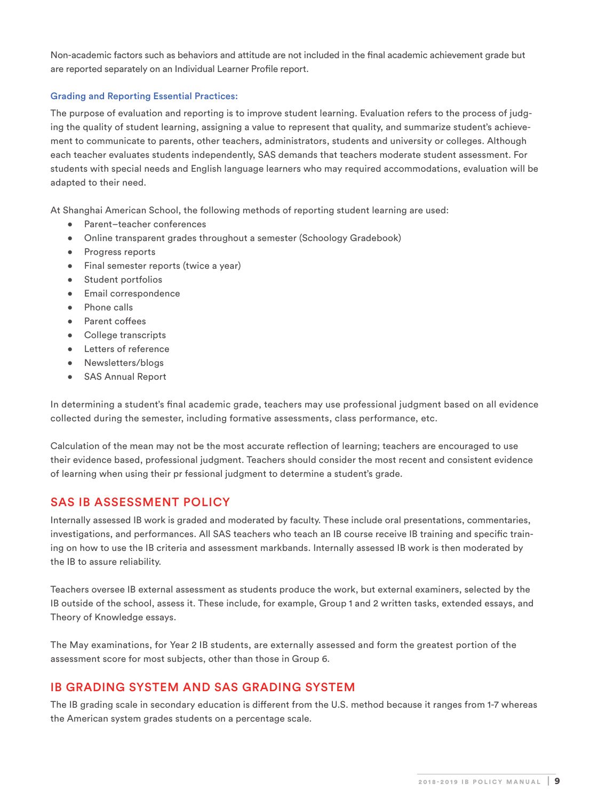Non-academic factors such as behaviors and attitude are not included in the final academic achievement grade but are reported separately on an Individual Learner Profile report.

#### Grading and Reporting Essential Practices:

The purpose of evaluation and reporting is to improve student learning. Evaluation refers to the process of judging the quality of student learning, assigning a value to represent that quality, and summarize student's achievement to communicate to parents, other teachers, administrators, students and university or colleges. Although each teacher evaluates students independently, SAS demands that teachers moderate student assessment. For students with special needs and English language learners who may required accommodations, evaluation will be adapted to their need.

At Shanghai American School, the following methods of reporting student learning are used:

- Parent-teacher conferences
- Online transparent grades throughout a semester (Schoology Gradebook)
- Progress reports
- Final semester reports (twice a year)
- Student portfolios
- Email correspondence
- Phone calls
- Parent coffees
- College transcripts
- **Letters of reference**
- Newsletters/blogs
- SAS Annual Report

In determining a student's final academic grade, teachers may use professional judgment based on all evidence collected during the semester, including formative assessments, class performance, etc.

Calculation of the mean may not be the most accurate reflection of learning; teachers are encouraged to use their evidence based, professional judgment. Teachers should consider the most recent and consistent evidence of learning when using their pr fessional judgment to determine a student's grade.

#### SAS IB ASSESSMENT POLICY

Internally assessed IB work is graded and moderated by faculty. These include oral presentations, commentaries, investigations, and performances. All SAS teachers who teach an IB course receive IB training and specific training on how to use the IB criteria and assessment markbands. Internally assessed IB work is then moderated by the IB to assure reliability.

Teachers oversee IB external assessment as students produce the work, but external examiners, selected by the IB outside of the school, assess it. These include, for example, Group 1 and 2 written tasks, extended essays, and Theory of Knowledge essays.

The May examinations, for Year 2 IB students, are externally assessed and form the greatest portion of the assessment score for most subjects, other than those in Group 6.

# IB GRADING SYSTEM AND SAS GRADING SYSTEM

The IB grading scale in secondary education is different from the U.S. method because it ranges from 1-7 whereas the American system grades students on a percentage scale.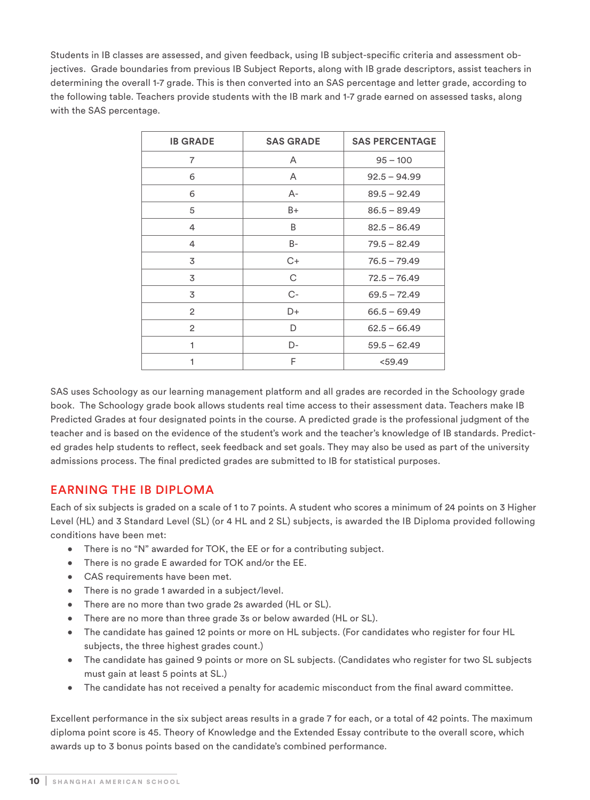Students in IB classes are assessed, and given feedback, using IB subject-specific criteria and assessment objectives. Grade boundaries from previous IB Subject Reports, along with IB grade descriptors, assist teachers in determining the overall 1-7 grade. This is then converted into an SAS percentage and letter grade, according to the following table. Teachers provide students with the IB mark and 1-7 grade earned on assessed tasks, along with the SAS percentage.

| <b>IB GRADE</b> | <b>SAS GRADE</b> | <b>SAS PERCENTAGE</b> |
|-----------------|------------------|-----------------------|
| $\overline{7}$  | A                | $95 - 100$            |
| 6               | A                | $92.5 - 94.99$        |
| 6               | A-               | $89.5 - 92.49$        |
| 5               | B+               | $86.5 - 89.49$        |
| 4               | B                | $82.5 - 86.49$        |
| 4               | B-               | $79.5 - 82.49$        |
| 3               | $C+$             | $76.5 - 79.49$        |
| 3               | C                | $72.5 - 76.49$        |
| 3               | $C-$             | $69.5 - 72.49$        |
| 2               | D+               | $66.5 - 69.49$        |
| $\overline{2}$  | D                | $62.5 - 66.49$        |
| 1               | D-               | $59.5 - 62.49$        |
| 1               | F                | $<$ 59.49             |

SAS uses Schoology as our learning management platform and all grades are recorded in the Schoology grade book. The Schoology grade book allows students real time access to their assessment data. Teachers make IB Predicted Grades at four designated points in the course. A predicted grade is the professional judgment of the teacher and is based on the evidence of the student's work and the teacher's knowledge of IB standards. Predicted grades help students to reflect, seek feedback and set goals. They may also be used as part of the university admissions process. The final predicted grades are submitted to IB for statistical purposes.

# EARNING THE IB DIPLOMA

Each of six subjects is graded on a scale of 1 to 7 points. A student who scores a minimum of 24 points on 3 Higher Level (HL) and 3 Standard Level (SL) (or 4 HL and 2 SL) subjects, is awarded the IB Diploma provided following conditions have been met:

- There is no "N" awarded for TOK, the EE or for a contributing subject.
- There is no grade E awarded for TOK and/or the EE.
- CAS requirements have been met.
- There is no grade 1 awarded in a subject/level.
- There are no more than two grade 2s awarded (HL or SL).
- There are no more than three grade 3s or below awarded (HL or SL).
- The candidate has gained 12 points or more on HL subjects. (For candidates who register for four HL subjects, the three highest grades count.)
- The candidate has gained 9 points or more on SL subjects. (Candidates who register for two SL subjects must gain at least 5 points at SL.)
- The candidate has not received a penalty for academic misconduct from the final award committee.

Excellent performance in the six subject areas results in a grade 7 for each, or a total of 42 points. The maximum diploma point score is 45. Theory of Knowledge and the Extended Essay contribute to the overall score, which awards up to 3 bonus points based on the candidate's combined performance.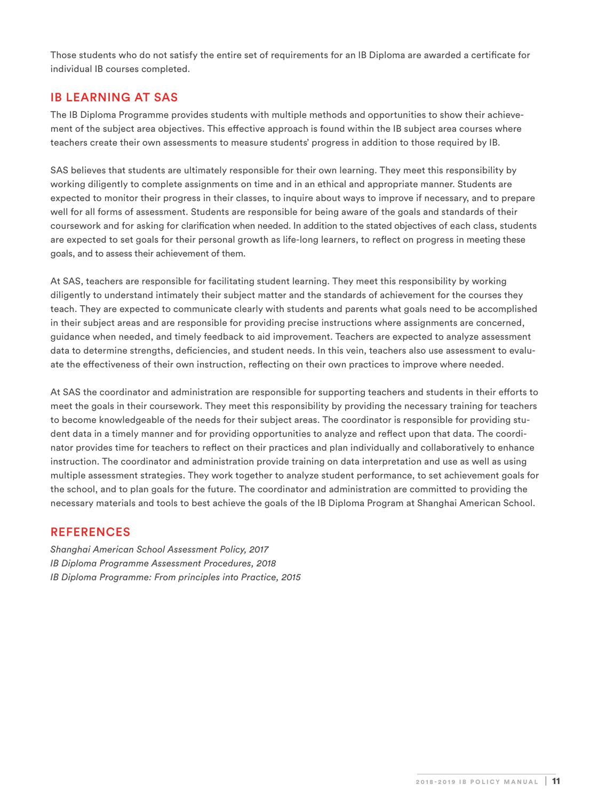Those students who do not satisfy the entire set of requirements for an IB Diploma are awarded a certificate for individual IB courses completed.

# IB LEARNING AT SAS

The IB Diploma Programme provides students with multiple methods and opportunities to show their achievement of the subject area objectives. This effective approach is found within the IB subject area courses where teachers create their own assessments to measure students' progress in addition to those required by IB.

SAS believes that students are ultimately responsible for their own learning. They meet this responsibility by working diligently to complete assignments on time and in an ethical and appropriate manner. Students are expected to monitor their progress in their classes, to inquire about ways to improve if necessary, and to prepare well for all forms of assessment. Students are responsible for being aware of the goals and standards of their coursework and for asking for clarification when needed. In addition to the stated objectives of each class, students are expected to set goals for their personal growth as life-long learners, to reflect on progress in meeting these goals, and to assess their achievement of them.

At SAS, teachers are responsible for facilitating student learning. They meet this responsibility by working diligently to understand intimately their subject matter and the standards of achievement for the courses they teach. They are expected to communicate clearly with students and parents what goals need to be accomplished in their subject areas and are responsible for providing precise instructions where assignments are concerned, guidance when needed, and timely feedback to aid improvement. Teachers are expected to analyze assessment data to determine strengths, deficiencies, and student needs. In this vein, teachers also use assessment to evaluate the effectiveness of their own instruction, reflecting on their own practices to improve where needed.

At SAS the coordinator and administration are responsible for supporting teachers and students in their efforts to meet the goals in their coursework. They meet this responsibility by providing the necessary training for teachers to become knowledgeable of the needs for their subject areas. The coordinator is responsible for providing student data in a timely manner and for providing opportunities to analyze and reflect upon that data. The coordinator provides time for teachers to reflect on their practices and plan individually and collaboratively to enhance instruction. The coordinator and administration provide training on data interpretation and use as well as using multiple assessment strategies. They work together to analyze student performance, to set achievement goals for the school, and to plan goals for the future. The coordinator and administration are committed to providing the necessary materials and tools to best achieve the goals of the IB Diploma Program at Shanghai American School.

#### REFERENCES

*Shanghai American School Assessment Policy, 2017 IB Diploma Programme Assessment Procedures, 2018 IB Diploma Programme: From principles into Practice, 2015*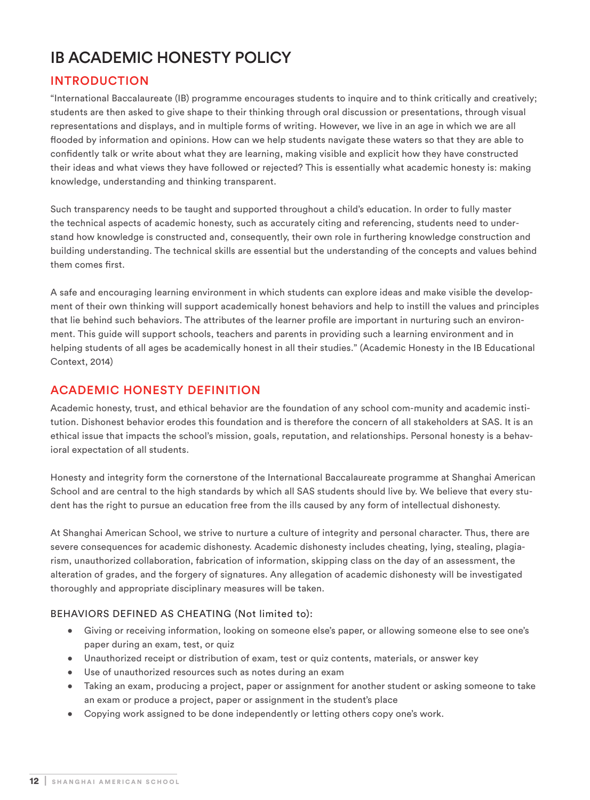# IB ACADEMIC HONESTY POLICY

# INTRODUCTION

"International Baccalaureate (IB) programme encourages students to inquire and to think critically and creatively; students are then asked to give shape to their thinking through oral discussion or presentations, through visual representations and displays, and in multiple forms of writing. However, we live in an age in which we are all flooded by information and opinions. How can we help students navigate these waters so that they are able to confidently talk or write about what they are learning, making visible and explicit how they have constructed their ideas and what views they have followed or rejected? This is essentially what academic honesty is: making knowledge, understanding and thinking transparent.

Such transparency needs to be taught and supported throughout a child's education. In order to fully master the technical aspects of academic honesty, such as accurately citing and referencing, students need to understand how knowledge is constructed and, consequently, their own role in furthering knowledge construction and building understanding. The technical skills are essential but the understanding of the concepts and values behind them comes first.

A safe and encouraging learning environment in which students can explore ideas and make visible the development of their own thinking will support academically honest behaviors and help to instill the values and principles that lie behind such behaviors. The attributes of the learner profile are important in nurturing such an environment. This guide will support schools, teachers and parents in providing such a learning environment and in helping students of all ages be academically honest in all their studies." (Academic Honesty in the IB Educational Context, 2014)

# ACADEMIC HONESTY DEFINITION

Academic honesty, trust, and ethical behavior are the foundation of any school com-munity and academic institution. Dishonest behavior erodes this foundation and is therefore the concern of all stakeholders at SAS. It is an ethical issue that impacts the school's mission, goals, reputation, and relationships. Personal honesty is a behavioral expectation of all students.

Honesty and integrity form the cornerstone of the International Baccalaureate programme at Shanghai American School and are central to the high standards by which all SAS students should live by. We believe that every student has the right to pursue an education free from the ills caused by any form of intellectual dishonesty.

At Shanghai American School, we strive to nurture a culture of integrity and personal character. Thus, there are severe consequences for academic dishonesty. Academic dishonesty includes cheating, lying, stealing, plagiarism, unauthorized collaboration, fabrication of information, skipping class on the day of an assessment, the alteration of grades, and the forgery of signatures. Any allegation of academic dishonesty will be investigated thoroughly and appropriate disciplinary measures will be taken.

#### BEHAVIORS DEFINED AS CHEATING (Not limited to):

- Giving or receiving information, looking on someone else's paper, or allowing someone else to see one's paper during an exam, test, or quiz
- Unauthorized receipt or distribution of exam, test or quiz contents, materials, or answer key
- Use of unauthorized resources such as notes during an exam
- Taking an exam, producing a project, paper or assignment for another student or asking someone to take an exam or produce a project, paper or assignment in the student's place
- Copying work assigned to be done independently or letting others copy one's work.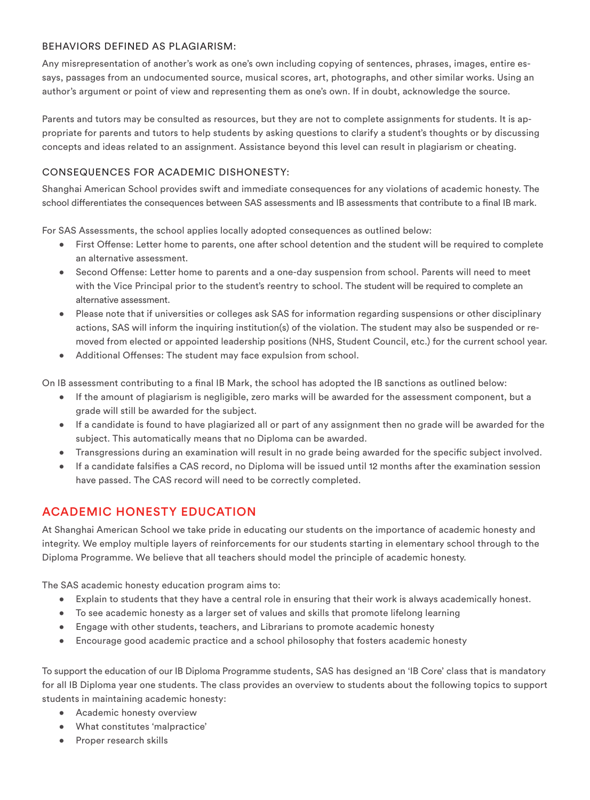#### BEHAVIORS DEFINED AS PLAGIARISM:

Any misrepresentation of another's work as one's own including copying of sentences, phrases, images, entire essays, passages from an undocumented source, musical scores, art, photographs, and other similar works. Using an author's argument or point of view and representing them as one's own. If in doubt, acknowledge the source.

Parents and tutors may be consulted as resources, but they are not to complete assignments for students. It is appropriate for parents and tutors to help students by asking questions to clarify a student's thoughts or by discussing concepts and ideas related to an assignment. Assistance beyond this level can result in plagiarism or cheating.

### CONSEQUENCES FOR ACADEMIC DISHONESTY:

Shanghai American School provides swift and immediate consequences for any violations of academic honesty. The school differentiates the consequences between SAS assessments and IB assessments that contribute to a final IB mark.

For SAS Assessments, the school applies locally adopted consequences as outlined below:

- First Offense: Letter home to parents, one after school detention and the student will be required to complete an alternative assessment.
- Second Offense: Letter home to parents and a one-day suspension from school. Parents will need to meet with the Vice Principal prior to the student's reentry to school. The student will be required to complete an alternative assessment.
- Please note that if universities or colleges ask SAS for information regarding suspensions or other disciplinary actions, SAS will inform the inquiring institution(s) of the violation. The student may also be suspended or removed from elected or appointed leadership positions (NHS, Student Council, etc.) for the current school year.
- Additional Offenses: The student may face expulsion from school.

On IB assessment contributing to a final IB Mark, the school has adopted the IB sanctions as outlined below:

- If the amount of plagiarism is negligible, zero marks will be awarded for the assessment component, but a grade will still be awarded for the subject.
- If a candidate is found to have plagiarized all or part of any assignment then no grade will be awarded for the subject. This automatically means that no Diploma can be awarded.
- Transgressions during an examination will result in no grade being awarded for the specific subject involved.
- If a candidate falsifies a CAS record, no Diploma will be issued until 12 months after the examination session have passed. The CAS record will need to be correctly completed.

# ACADEMIC HONESTY EDUCATION

At Shanghai American School we take pride in educating our students on the importance of academic honesty and integrity. We employ multiple layers of reinforcements for our students starting in elementary school through to the Diploma Programme. We believe that all teachers should model the principle of academic honesty.

The SAS academic honesty education program aims to:

- Explain to students that they have a central role in ensuring that their work is always academically honest.
- To see academic honesty as a larger set of values and skills that promote lifelong learning
- Engage with other students, teachers, and Librarians to promote academic honesty
- Encourage good academic practice and a school philosophy that fosters academic honesty

To support the education of our IB Diploma Programme students, SAS has designed an 'IB Core' class that is mandatory for all IB Diploma year one students. The class provides an overview to students about the following topics to support students in maintaining academic honesty:

- Academic honesty overview
- What constitutes 'malpractice'
- Proper research skills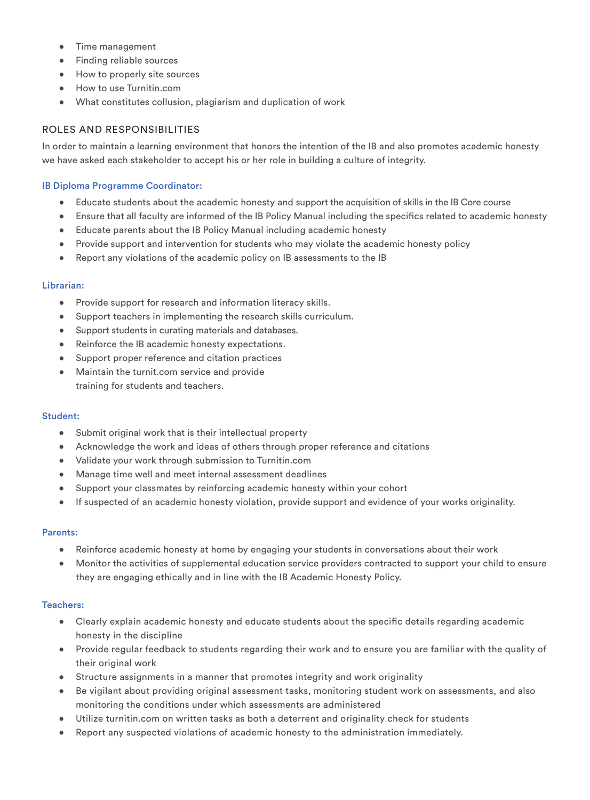- Time management
- Finding reliable sources
- How to properly site sources
- How to use Turnitin.com
- What constitutes collusion, plagiarism and duplication of work

#### ROLES AND RESPONSIBILITIES

In order to maintain a learning environment that honors the intention of the IB and also promotes academic honesty we have asked each stakeholder to accept his or her role in building a culture of integrity.

#### IB Diploma Programme Coordinator:

- Educate students about the academic honesty and support the acquisition of skills in the IB Core course
- Ensure that all faculty are informed of the IB Policy Manual including the specifics related to academic honesty
- Educate parents about the IB Policy Manual including academic honesty
- Provide support and intervention for students who may violate the academic honesty policy
- Report any violations of the academic policy on IB assessments to the IB

#### Librarian:

- Provide support for research and information literacy skills.
- Support teachers in implementing the research skills curriculum.
- Support students in curating materials and databases.
- Reinforce the IB academic honesty expectations.
- Support proper reference and citation practices
- Maintain the turnit.com service and provide training for students and teachers.

#### Student:

- Submit original work that is their intellectual property
- Acknowledge the work and ideas of others through proper reference and citations
- Validate your work through submission to Turnitin.com
- Manage time well and meet internal assessment deadlines
- Support your classmates by reinforcing academic honesty within your cohort
- If suspected of an academic honesty violation, provide support and evidence of your works originality.

#### Parents:

- Reinforce academic honesty at home by engaging your students in conversations about their work
- Monitor the activities of supplemental education service providers contracted to support your child to ensure they are engaging ethically and in line with the IB Academic Honesty Policy.

#### Teachers:

- Clearly explain academic honesty and educate students about the specific details regarding academic honesty in the discipline
- Provide regular feedback to students regarding their work and to ensure you are familiar with the quality of their original work
- Structure assignments in a manner that promotes integrity and work originality
- Be vigilant about providing original assessment tasks, monitoring student work on assessments, and also monitoring the conditions under which assessments are administered
- Utilize turnitin.com on written tasks as both a deterrent and originality check for students
- Report any suspected violations of academic honesty to the administration immediately.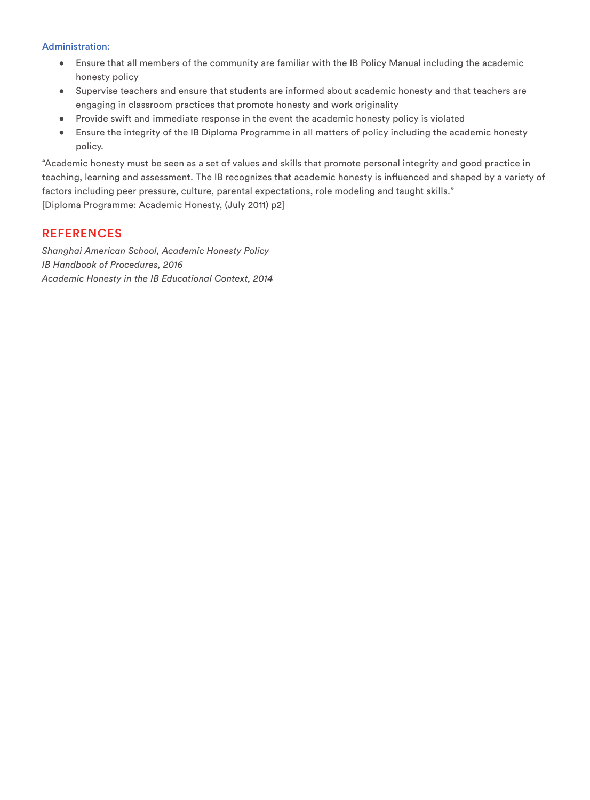#### Administration:

- Ensure that all members of the community are familiar with the IB Policy Manual including the academic honesty policy
- Supervise teachers and ensure that students are informed about academic honesty and that teachers are engaging in classroom practices that promote honesty and work originality
- Provide swift and immediate response in the event the academic honesty policy is violated
- Ensure the integrity of the IB Diploma Programme in all matters of policy including the academic honesty policy.

"Academic honesty must be seen as a set of values and skills that promote personal integrity and good practice in teaching, learning and assessment. The IB recognizes that academic honesty is influenced and shaped by a variety of factors including peer pressure, culture, parental expectations, role modeling and taught skills." [Diploma Programme: Academic Honesty, (July 2011) p2]

## REFERENCES

*Shanghai American School, Academic Honesty Policy IB Handbook of Procedures, 2016 Academic Honesty in the IB Educational Context, 2014*